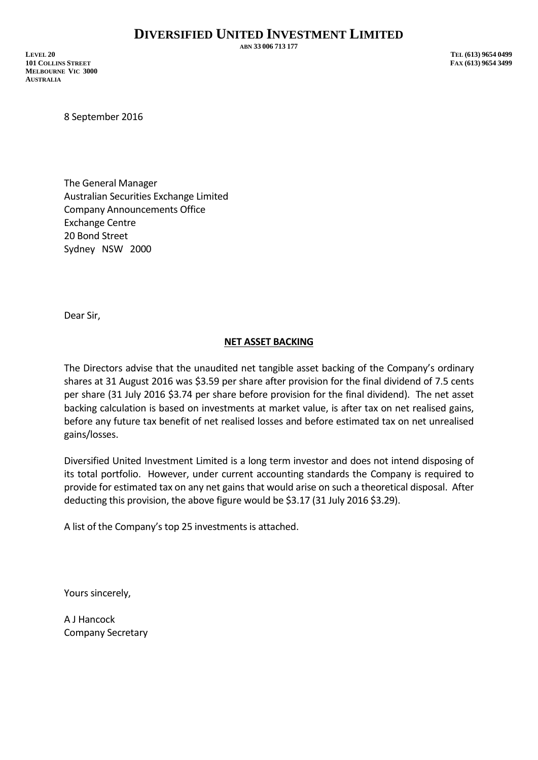**ABN 33 006 713 177**

**LEVEL 20 TEL (613) 9654 0499 101 COLLINS STREET FAX (613) 9654 3499 MELBOURNE VIC 3000 AUSTRALIA**

8 September 2016

The General Manager Australian Securities Exchange Limited Company Announcements Office Exchange Centre 20 Bond Street Sydney NSW 2000

Dear Sir,

## **NET ASSET BACKING**

The Directors advise that the unaudited net tangible asset backing of the Company's ordinary shares at 31 August 2016 was \$3.59 per share after provision for the final dividend of 7.5 cents per share (31 July 2016 \$3.74 per share before provision for the final dividend). The net asset backing calculation is based on investments at market value, is after tax on net realised gains, before any future tax benefit of net realised losses and before estimated tax on net unrealised gains/losses.

Diversified United Investment Limited is a long term investor and does not intend disposing of its total portfolio. However, under current accounting standards the Company is required to provide for estimated tax on any net gains that would arise on such a theoretical disposal. After deducting this provision, the above figure would be \$3.17 (31 July 2016 \$3.29).

A list of the Company's top 25 investments is attached.

Yours sincerely,

A J Hancock Company Secretary